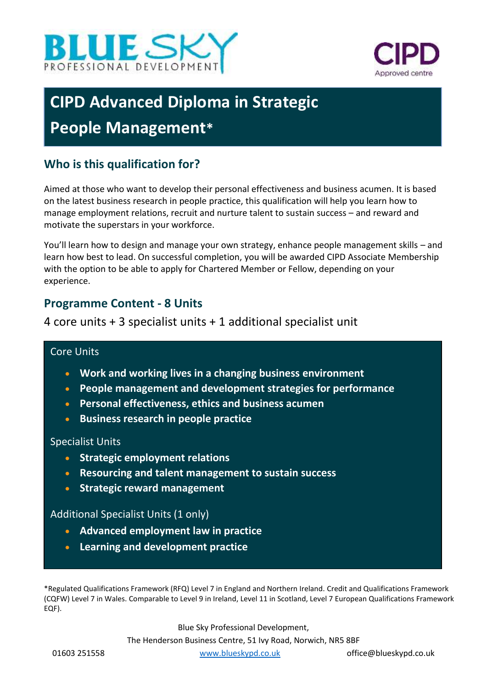



# **CIPD Advanced Diploma in Strategic People Management\***

# **Who is this qualification for?**

Aimed at those who want to develop their personal effectiveness and business acumen. It is based on the latest business research in people practice, this qualification will help you learn how to manage employment relations, recruit and nurture talent to sustain success – and reward and motivate the superstars in your workforce.

You'll learn how to design and manage your own strategy, enhance people management skills – and learn how best to lead. On successful completion, you will be awarded CIPD Associate Membership with the option to be able to apply for Chartered Member or Fellow, depending on your experience.

## **Programme Content - 8 Units**

4 core units + 3 specialist units + 1 additional specialist unit

#### Core Units

- **Work and working lives in a changing business environment**
- **People management and development strategies for performance**
- **Personal effectiveness, ethics and business acumen**
- **Business research in people practice**

#### Specialist Units

- **Strategic employment relations**
- **Resourcing and talent management to sustain success**
- **Strategic reward management**

#### Additional Specialist Units (1 only)

- **Advanced employment law in practice**
- **Learning and development practice**

\*Regulated Qualifications Framework (RFQ) Level 7 in England and Northern Ireland. Credit and Qualifications Framework (CQFW) Level 7 in Wales. Comparable to Level 9 in Ireland, Level 11 in Scotland, Level 7 European Qualifications Framework EQF).

> Blue Sky Professional Development, The Henderson Business Centre, 51 Ivy Road, Norwich, NR5 8BF